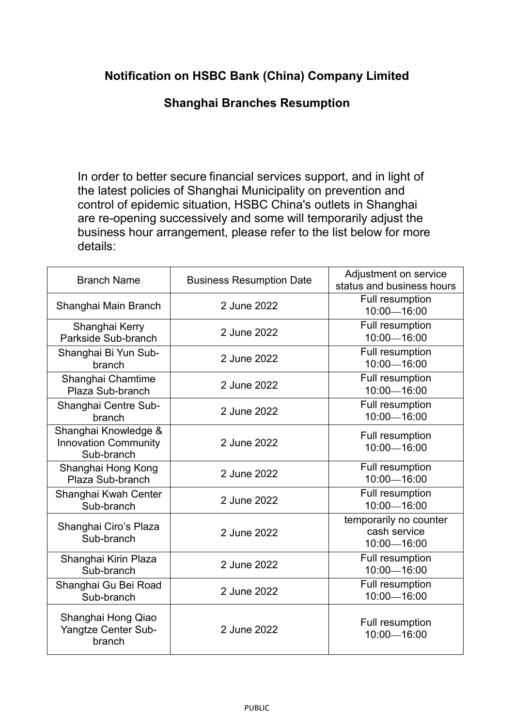## **Notification on HSBC Bank (China) Company Limited**

## **Shanghai Branches Resumption**

In order to better secure financial services support, and in light of the latest policies of Shanghai Municipality on prevention and control of epidemic situation, HSBC China's outlets in Shanghai are re-opening successively and some will temporarily adjust the business hour arrangement, please refer to the list below for more details:

| <b>Branch Name</b>                                                | <b>Business Resumption Date</b> | Adjustment on service<br>status and business hours    |
|-------------------------------------------------------------------|---------------------------------|-------------------------------------------------------|
| Shanghai Main Branch                                              | 2 June 2022                     | Full resumption<br>10:00-16:00                        |
| Shanghai Kerry<br>Parkside Sub-branch                             | 2 June 2022                     | Full resumption<br>10:00-16:00                        |
| Shanghai Bi Yun Sub-<br>branch                                    | 2 June 2022                     | Full resumption<br>10:00-16:00                        |
| Shanghai Chamtime<br>Plaza Sub-branch                             | 2 June 2022                     | <b>Full resumption</b><br>10:00-16:00                 |
| Shanghai Centre Sub-<br>branch                                    | 2 June 2022                     | Full resumption<br>10:00-16:00                        |
| Shanghai Knowledge &<br><b>Innovation Community</b><br>Sub-branch | 2 June 2022                     | Full resumption<br>10:00-16:00                        |
| Shanghai Hong Kong<br>Plaza Sub-branch                            | 2 June 2022                     | Full resumption<br>10:00-16:00                        |
| Shanghai Kwah Center<br>Sub-branch                                | 2 June 2022                     | Full resumption<br>10:00-16:00                        |
| Shanghai Ciro's Plaza<br>Sub-branch                               | 2 June 2022                     | temporarily no counter<br>cash service<br>10:00-16:00 |
| Shanghai Kirin Plaza<br>Sub-branch                                | 2 June 2022                     | Full resumption<br>10:00-16:00                        |
| Shanghai Gu Bei Road<br>Sub-branch                                | 2 June 2022                     | Full resumption<br>10:00-16:00                        |
| Shanghai Hong Qiao<br>Yangtze Center Sub-<br>branch               | 2 June 2022                     | Full resumption<br>10:00-16:00                        |